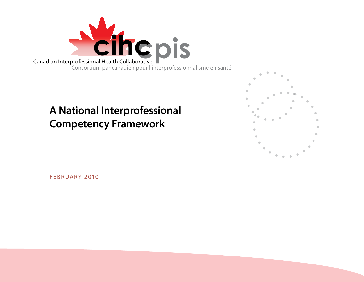

# **A National Interprofessional Competency Framework**



February 2010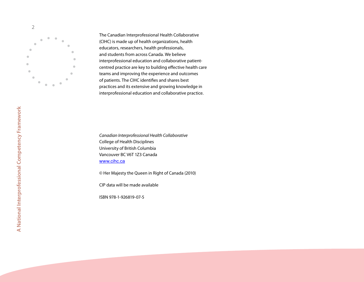

The Canadian Interprofessional Health Collaborative (CIHC) is made up of health organizations, health educators, researchers, health professionals, and students from across Canada. We believe interprofessional education and collaborative patientcentred practice are key to building effective health care teams and improving the experience and outcomes of patients. The CIHC identifies and shares best practices and its extensive and growing knowledge in interprofessional education and collaborative practice.

*Canadian Interprofessional Health Collaborative* College of Health Disciplines University of British Columbia Vancouver BC V6T 1Z3 Canada www.cihc.ca

© Her Majesty the Queen in Right of Canada (2010)

CIP data will be made available

IS BN 978-1-926819-07-5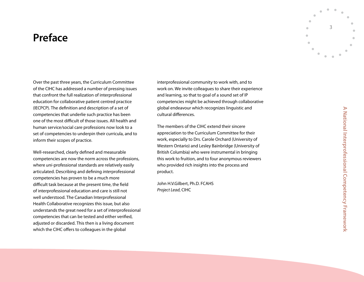# <span id="page-2-0"></span>**Preface**

Over the past three years, the Curriculum Committee of the CIHC has addressed a number of pressing issues that confront the full realization of interprofessional education for collaborative patient centred practice (I ECPCP). The definition and description of a set of competencies that underlie such practice has been one of the most difficult of those issues. All health and human service/social care professions now look to a set of competencies to underpin their curricula, and to inform their scopes of practice.

Well-researched, clearly defined and measurable competencies are now the norm across the professions, where *uni*-professional standards are relatively easily articulated. Describing and defining *inter*professional competencies has proven to be a much more difficult task because at the present time, the field of interprofessional education and care is still not well understood. The Canadian Interprofessional Health Collaborative recognizes this issue, but also understands the great need for a set of interprofessional competencies that can be tested and either verified, adjusted or discarded. This then is a living document which the CIHC offers to colleagues in the global

interprofessional community to work with, and to work on. We invite colleagues to share their experience and learning, so that to goal of a sound set of IP competencies might be achieved through collaborative global endeavour which recognizes linguistic and cultural differences.

The members of the CIHC extend their sincere appreciation to the Curriculum Committee for their work, especially to Drs. Carole Orchard ( University of Western Ontario) and Lesley Bainbridge ( University of British Columbia) who were instrumental in bringing this work to fruition, and to four anonymous reviewers who provided rich insights into the process and product.

John H.V.Gilbert, Ph.D. FC AHS *Project Lead*, CIHC

3

 $\blacksquare$  $\blacksquare$   $\blacksquare$ 

 $\blacksquare$  $\triangle$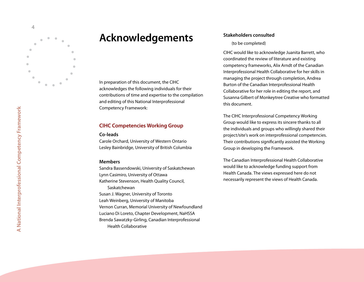<span id="page-3-0"></span>

# **Acknowledgements**

In preparation of this document, the CIHC acknowledges the following individuals for their contributions of time and expertise to the compilation and editing of this National Interprofessional Competency Framework:

#### **CIHC Competencies Working Group**

#### **Co-leads**

Carole Orchard, University of Western Ontario Lesley Bainbridge, University of British Columbia

#### **Members**

Sandra Bassendowski, University of Saskatchewan Lynn Casimiro, University of Ottawa Katherine Stevenson, Health Quality Council, Saskatchewan Susan J. Wagner, University of Toronto Leah Weinberg, University of Manitoba Vernon Curran, Memorial University of Newfoundland Luciano Di Loreto, Chapter Development, NaHSS A Brenda Sawatzky-Girling, Canadian Interprofessional Health Collaborative

#### **Stakeholders consulted**

#### (to be completed)

CIHC would like to acknowledge Juanita Barrett, who coordinated the review of literature and existing competency frameworks, Alix Arndt of the Canadian Interprofessional Health Collaborative for her skills in managing the project through completion, Andrea Burton of the Canadian Interprofessional Health Collaborative for her role in editing the report, and Susanna Gilbert of Monkeytree Creative who formatted this document.

The CIHC Interprofessional Competency Working Group would like to express its sincere thanks to all the individuals and groups who willingly shared their project/site's work on interprofessional competencies. Their contributions significantly assisted the Working Group in developing the Framework.

The Canadian Interprofessional Health Collaborative would like to acknowledge funding support from Health Canada. The views expressed here do not necessarily represent the views of Health Canada.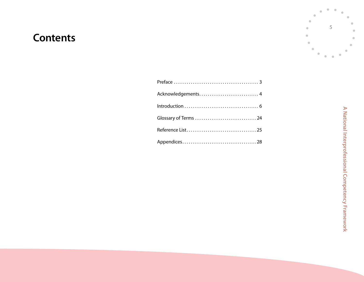# **Contents**

A National Interprofessional Competency Framework **A National Interprofessional Competency Framework**

 $\triangle$ 

 $\bullet$ 

 $\qquad \qquad \bullet$ 

 $\blacksquare$ 

 $\blacksquare$ 

 $\bullet$ 

5

 $\blacksquare$ 

 $\blacksquare$ 

ó

Ċ

 $\bullet$  $\bullet$  $\bullet$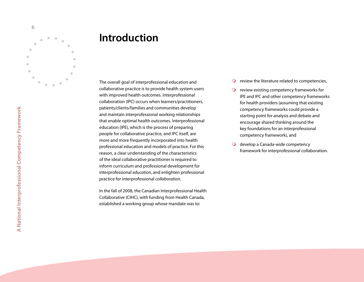<span id="page-5-0"></span>

# **Introduction**

The overall goal of interprofessional education and collaborative practice is to provide health system users with improved health outcomes. Interprofessional collaboration (IPC) occurs when learners/practitioners, patients/clients/families and communities develop and maintain interprofessional working relationships that enable optimal health outcomes. Interprofessional education (IP E), which is the process of preparing people for collaborative practice, and IPC itself, are more and more frequently incorporated into health professional education and models of practice. For this reason, a clear understanding of the characteristics of the ideal collaborative practitioner is required to inform curriculum and professional development for interprofessional *education*, and enlighten professional practice for interprofessional *collaboration*.

In the fall of 2008, the Canadian Interprofessional Health Collaborative (CIHC), with funding from Health Canada, established a working group whose mandate was to:

- $\Omega$  review the literature related to competencies,
- $\overline{O}$  review existing competency frameworks for IP E and IPC and other competency frameworks for health providers (assuming that existing competency frameworks could provide a starting point for analysis and debate and encourage shared thinking around the key foundations for an interprofessional competency framework), and
- O develop a Canada-wide competency framework for interprofessional collaboration.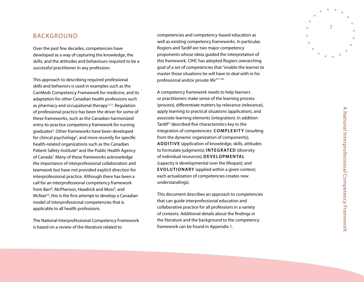### **BACKGROUN**

Over the past few decades, competencies have developed as a way of capturing the knowledge, the skills, and the attitudes and behaviours required to be a successful practitioner in any profession.

This approach to describing required professional skills and behaviors is used in examples such as the CanMeds Competency Framework for medicine, and its adaptation for other Canadian health professions such as pharmacy and occupational therapy<sup>1,2,3</sup>. Regulation of professional practice has been the driver for some of these frameworks, such as the Canadian harmonized entry-to-practice competency framework for nursing graduates 4 . Other frameworks have been developed for clinical psychology 5 , and more recently for specific health-related organizations such as the Canadian Patient Safety Institute<sup>6</sup> and the Public Health Agency of Canada 7 . Many of these frameworks acknowledge the importance of interprofessional collaboration and teamwork but have not provided explicit direction for interprofessional practice. Although there has been a call for an interprofessional competency framework from Barr 8 , McPherson, Headrick and Moss 9 , and McNair<sup>10</sup>, this is the first attempt to develop a Canadian model of interprofessional competencies that is applicable to all health professions.

The National Interprofessional Competency Framework is based on a review of the literature related to

competencies and competency-based education as well as existing competency frameworks. In particular, Rogiers and Tardif are two major competency proponents whose ideas guided the interpretation of this framework. CIHC has adopted Rogiers overarching goal of a set of competencies that "enable the learner to master those situations he will have to deal with in his professional and/or private life"11-181

A competency framework needs to help learners or practitioners make sense of the learning process (process), differentiate matters by relevance (relevance), apply learning to practical situations (application), and associate learning elements (integration). In addition Tardif<sup>12</sup> described five characteristics key to the integration of competencies: COMPLEXITY (resulting from the dynamic organization of components); **ADDITIVE** (application of knowledge, skills, attitudes to formulate judgments); **INTEGRATED** (diversity  $\alpha$  findividual resources); DEVELOPMENTAL (capacity is developmental over the lifespan); and **EVOLUTIONARY** (applied within a given context; each actualization of competencies creates new understandings).

This document describes an approach to competencies that can guide interprofessional education and collaborative practice for all professions in a variety of contexts. Additional details about the findings in the literature and the background to the competency framework can be found in Appendix 1.



 $\blacksquare$ 

7

 $\blacksquare$  $\alpha$   $\bullet$ 

 $\mathbf{r}$  $\blacksquare$  $\blacksquare$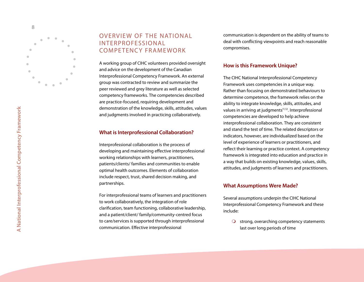

# OVERVIEW OF THE NATIONAL INTERPROFESSIONAL COMPETENCY FRAMEWORK

A working group of CIHC volunteers provided oversight and advice on the development of the Canadian Interprofessional Competency Framework. An external group was contracted to review and summarize the peer reviewed and grey literature as well as selected competency frameworks. The competencies described are practice-focused, requiring development and demonstration of the knowledge, skills, attitudes, values and judgments involved in practicing collaboratively.

#### **What is Interprofessional Collaboration?**

Interprofessional collaboration is the process of developing and maintaining effective interprofessional working relationships with learners, practitioners, patients/clients/ families and communities to enable optimal health outcomes. Elements of collaboration include respect, trust, shared decision making, and partnerships.

For interprofessional teams of learners and practitioners to work collaboratively, the integration of role clarification, team functioning, collaborative leadership, and a patient/client/ family/community-centred focus to care/services is supported through interprofessional communication. Effective interprofessional

communication is dependent on the ability of teams to deal with conflicting viewpoints and reach reasonable compromises.

#### **How is this Framework Unique?**

The CIHC National Interprofessional Competency Framework uses competencies in a unique way. Rather than focusing on demonstrated behaviours to determine competence, the framework relies on the ability to integrate knowledge, skills, attitudes, and values in arriving at judgments<sup>11,12</sup>. Interprofessional competencies are developed to help achieve interprofessional collaboration. They are consistent and stand the test of time. The related descriptors or indicators, however, are individualized based on the level of experience of learners or practitioners, and reflect their learning or practice context. A competency framework is integrated into education and practice in a way that builds on existing knowledge, values, skills, attitudes, and judgments of learners and practitioners.

#### **What Assumptions Were Made?**

Several assumptions underpin the CIHC National Interprofessional Competency Framework and these include:

 $\bigcirc$  strong, overarching competency statements last over long periods of time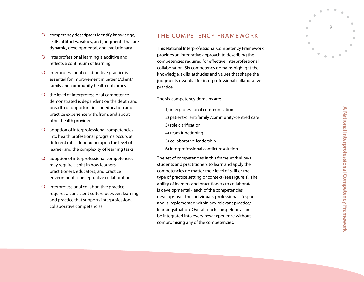- $\bigcirc$  competency descriptors identify knowledge, skills, attitudes, values, and judgments that are dynamic, developmental, and evolutionary
- $\bigcirc$  interprofessional learning is additive and reflects a continuum of learning
- $\bigcirc$  interprofessional collaborative practice is essential for improvement in patient/client/ family and community health outcomes
- $\bigcirc$  the level of interprofessional competence demonstrated is dependent on the depth and breadth of opportunities for education and practice experience with, from, and about other health providers  $\circ$   $\circ$   $\circ$   $\circ$   $\circ$   $\circ$   $\circ$   $\circ$
- adoption of interprofessional competencies into health professional programs occurs at different rates depending upon the level of learner and the complexity of learning tasks
- adoption of interprofessional competencies may require a shift in how learners, practitioners, educators, and practice environments conceptualize collaboration
- $\bigcirc$  interprofessional collaborative practice requires a consistent culture between learning and practice that supports interprofessional collaborative competencies

# THE COMPETENCY FRAMEWORK

This National Interprofessional Competency Framework provides an integrative approach to describing the competencies required for effective interprofessional collaboration. Six competency domains highlight the knowledge, skills, attitudes and values that shape the judgments essential for interprofessional collaborative practice.

The six competency domains are:

- 1) interprofessional communication
- 2) patient/client/family /community-centred care
- 3) role clarification
- 4) team functioning
- 5) collaborative leadership
- 6) interprofessional conflict resolution

The set of competencies in this framework allows students and practitioners to learn and apply the competencies no matter their level of skill or the type of practice setting or context (see Figure 1). The ability of learners and practitioners to collaborate is developmental - each of the competencies develops over the individual's professional lifespan and is implemented within any relevant practice/ learningsituation. Overall, each competency can be integrated into every new experience without compromising any of the competencies.

 $\mathsf{Q}$ 

 $\blacksquare$ 

 $\triangle$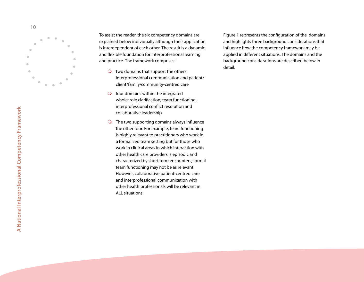

To assist the reader, the six competency domains are explained below individually although their application is interdependent of each other. The result is a dynamic and flexible foundation for interprofessional learning and practice. The framework comprises:

- $\overline{O}$  two domains that support the others: interprofessional communication and patient/ client/family/community-centred care
- $\bigcirc$  four domains within the integrated whole: role clarification, team functioning, interprofessional conflict resolution and collaborative leadership  $\circ$  0
- $\bigcirc$  The two supporting domains always influence the other four. For example, team functioning is highly relevant to practitioners who work in a formalized team setting but for those who work in clinical areas in which interaction with other health care providers is episodic and characterized by short term encounters, formal team functioning may not be as relevant. However, collaborative patient-centred care and interprofessional communication with other health professionals will be relevant in ALL situations.

Figure 1 represents the configuration of the domains and highlights three background considerations that influence how the competency framework may be applied in different situations. The domains and the background considerations are described below in detail.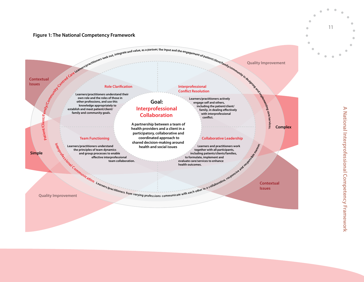#### **Figure 1: The National Competency Framework**



11

 $\bullet$  $\bullet$   $\bullet$ 

ó ă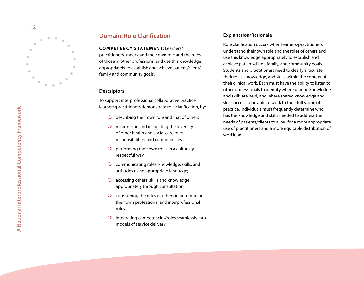

## **Domain: Role Clarification**

#### **CO M PE T E N C Y S TAT E M E N T :** Learners/

practitioners understand their own role and the roles of those in other professions, and use this knowledge appropriately to establish and achieve patient/client/ family and community goals.

#### **Descriptors**

To support interprofessional collaborative practice learners/practitioners demonstrate role clarification, by:

- $\bigcirc$  describing their own role and that of others
- recognizing and respecting the diversity  $\bullet$ of other health and social care roles, responsibilities, and competencies
- $\overline{O}$ performing their own roles in a culturally respectful way
- $\bigcirc$  communicating roles, knowledge, skills, and attitudes using appropriate language;
- accessing others' skills and knowledge appropriately through consultation
- $\bigcirc$  considering the roles of others in determining their own professional and interprofessional roles O O O O O
- integrating competencies/roles seamlessly into  $\bullet$ models of service delivery.

#### **Explanation/ Rationale**

Role clarification occurs when learners/practitioners understand their own role and the roles of others and use this knowledge appropriately to establish and achieve patient/client, family, and community goals. Students and practitioners need to clearly articulate their roles, knowledge, and skills within the context of their clinical work. Each must have the ability to listen to other professionals to identity where unique knowledge and skills are held, and where shared knowledge and skills occur. To be able to work to their full scope of practice, individuals must frequently determine who has the knowledge and skills needed to address the needs of patients/clients to allow for a more appropriate use of practitioners and a more equitable distribution of workload.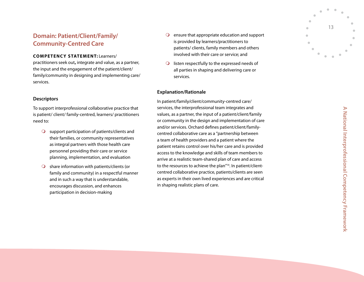# **Domain: Patient/Client/Family/ Community-Centred Care**

#### **CO M PE T E N C Y S TAT E M E N T:** Learners/

practitioners seek out**,** integrate and value, as a partner, the input and the engagement of the patient/client/ family/community in designing and implementing care/ services.

#### **Descriptors**

To support interprofessional collaborative practice that is patient/ client/ family-centred, learners/ practitioners need to:

- $\bigcirc$  support participation of patients/clients and their families, or community representatives as integral partners with those health care personnel providing their care or service planning, implementation, and evaluation  $\circ$
- $\bigcirc$  share information with patients/clients (or family and community) in a respectful manner and in such a way that is understandable, encourages discussion, and enhances participation in decision-making
- $\overline{Q}$  ensure that appropriate education and support is provided by learners/practitioners to patients/ clients, family members and others involved with their care or service; and
- listen respectfully to the expressed needs of all parties in shaping and delivering care or services.

#### **Explanation/ Rationale**

In patient/family/client/community-centred care/ services, the interprofessional team integrates and values, as a partner, the input of a patient/client/family or community in the design and implementation of care and/or services. Orchard defines patient/client/familycentred collaborative care as a "partnership between a team of health providers and a patient where the patient retains control over his/her care and is provided access to the knowledge and skills of team members to arrive at a realistic team-shared plan of care and access to the resources to achieve the plan"<sup>14</sup>. In patient/clientcentred collaborative practice, patients/clients are seen as experts in their own lived experiences and are critical O ensure that appropriate<br>is provided by learners/<br>patients/ clients, family<br>involved with their care<br>O listen respectfully to the<br>all parties in shaping an<br>services.<br>**Explanation/Rationale**<br>In patient/family/client/commun

**A National Interprofessional Competency Framework**  $\blacktriangleright$ National Interprofessional Competency Framework

13

 $\blacksquare$  $\blacksquare$ 

ò.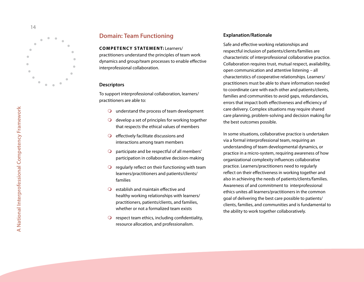

## **Domain: Team Functioning**

**CO M PE T E N C Y S TAT E M E N T:** Learners/ practitioners understand the principles of team work dynamics and group/team processes to enable effective interprofessional collaboration.

#### **Descriptors**

To support interprofessional collaboration, learners/ practitioners are able to:

- understand the process of team development
- $\bigcirc$  develop a set of principles for working together that respects the ethical values of members
- $\bigcirc$  effectively facilitate discussions and interactions among team members
- $\Omega$ participate and be respectful of all members' participation in collaborative decision-making
- $\Omega$  regularly reflect on their functioning with team learners/practitioners and patients/clients/ families
- $\overline{Q}$  establish and maintain effective and healthy working relationships with learners/ practitioners, patients/clients, and families, whether or not a formalized team exists
- $\bigcirc$  respect team ethics, including confidentiality, resource allocation, and professionalism.

#### **Explanation/ Rationale**

Safe and effective working relationships and respectful inclusion of patients/clients/families are characteristic of interprofessional collaborative practice. Collaboration requires trust, mutual respect, availability, open communication and attentive listening – all characteristics of cooperative relationships. Learners/ practitioners must be able to share information needed to coordinate care with each other and patients/clients, families and communities to avoid gaps, redundancies, errors that impact both effectiveness and efficiency of care delivery. Complex situations may require shared care planning, problem-solving and decision making for the best outcomes possible.

In some situations, collaborative practice is undertaken via a formal interprofessional team, requiring an understanding of team developmental dynamics, or practice in a micro-system, requiring awareness of how organizational complexity influences collaborative practice. Learners/practitioners need to regularly reflect on their effectiveness in working together and also in achieving the needs of patients/clients/families. Awareness of and commitment to interprofessional ethics unites all learners/practitioners in the common goal of delivering the best care possible to patients/ clients, families, and communities and is fundamental to the ability to work together collaboratively.

1 4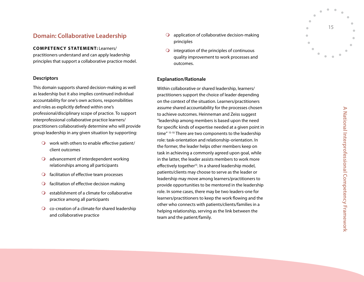# **Domain: Collaborative Leadership**

#### **CO M PE T E N C Y S TAT E M E N T:** Learners/

practitioners understand and can apply leadership principles that support a collaborative practice model.

#### **Descriptors**

This domain supports shared decision-making as well as leadership but it also implies continued individual accountability for one's own actions, responsibilities and roles as explicitly defined within one's professional/disciplinary scope of practice. To support interprofessional collaborative practice learners/ practitioners collaboratively determine who will provide group leadership in any given situation by supporting:

- $\bigcirc$  work with others to enable effective patient/ client outcomes
- $\bigcirc$  advancement of interdependent working relationships among all participants
- $\bigcirc$  facilitation of effective team processes
- $\bigcirc$  facilitation of effective decision making
- $\overline{Q}$  establishment of a climate for collaborative practice among all participants O O O O O
- co-creation of a climate for shared leadership and collaborative practice
- $\Omega$  application of collaborative decision-making principles
- integration of the principles of continuous quality improvement to work processes and outcomes.

#### **Explanation/ Rationale**

Within collaborative or shared leadership, learners/ practitioners support the choice of leader depending on the context of the situation. Learners/practitioners assume shared accountability for the processes chosen to achieve outcomes. Heinneman and Zeiss suggest "leadership among members is based upon the need for specific kinds of expertise needed at a given point in time" 15-10 There are two components to the leadership role: task-orientation and relationship-orientation. In the former, the leader helps other members keep on task in achieving a commonly agreed upon goal, while in the latter, the leader assists members to work more effectively together<sup>15</sup>. In a shared leadership model, patients/clients may choose to serve as the leader or leadership may move among learners/practitioners to provide opportunities to be mentored in the leadership role. In some cases, there may be two leaders-one for learners/practitioners to keep the work flowing and the other who connects with patients/clients/families in a helping relationship, serving as the link between the O application of collat<br>principles<br>O integration of the pi<br>quality improvemer<br>outcomes.<br>**Explanation/Rationale**<br>Within collaborative or share<br>practitioners support the cheon the context of the situatic<br>assume shared accoun

15

 $\bullet$  $\alpha$ 

 $\blacksquare$  $\triangle$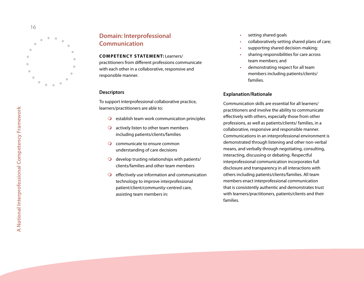

# **Domain: Interprofessional Communication**

**CO M PE T E N C Y S TAT E M E N T :** Learners/

practitioners from different professions communicate with each other in a collaborative, responsive and responsible manner.

#### **Descriptors**

To support interprofessional collaborative practice, learners/practitioners are able to:

- $\overline{Q}$  establish team work communication principles
- $\bigcirc$  actively listen to other team members including patients/clients/families O O O O
- communicate to ensure common understanding of care decisions
- $\bigcirc$  develop trusting relationships with patients/ clients/families and other team members
- $\bigcirc$  effectively use information and communication technology to improve interprofessional patient/client/community-centred care, assisting team members in:
- setting shared goals  $\bullet$
- collaboratively setting shared plans of care;
- supporting shared decision-making;
- •••••••••••••• sharing responsibilities for care across  $\bullet$ team members; and
- demonstrating respect for all team members including patients/clients/ families.

#### **Explanation/ Rationale**

Communication skills are essential for all learners/ practitioners and involve the ability to communicate effectively with others, especially those from other professions, as well as patients/clients/ families, in a collaborative, responsive and responsible manner. Communications in an interprofessional environment is demonstrated through listening and other non-verbal means, and verbally through negotiating, consulting, interacting, discussing or debating. Respectful interprofessional communication incorporates full disclosure and transparency in all interactions with others including patients/clients/families. All team members enact interprofessional communication that is consistently authentic and demonstrates trust with learners/practitioners, patients/clients and their families.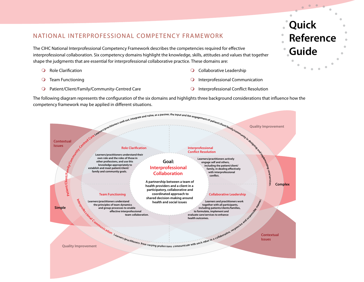# NATIONAL INTERPROFESSIONAL COMPETENCY FRAMEWORK

The CIHC National Interprofessional Competency Framework describes the competencies required for effective interprofessional collaboration. Six competency domains highlight the knowledge, skills, attitudes and values that together shape the judgments that are essential for interprofessional collaborative practice. These domains are:

- Role Clarification  $\bullet$
- Team Functioning  $\circ$
- Patient/Client/Family/Community-Centred Care  $\circ$
- **Q** Collaborative Leadership
- Interprofessional Communication  $\overline{O}$
- Interprofessional Conflict Resolution  $\overline{O}$

**Quick Reference Guide**



The following diagram represents the configuration of the six domains and highlights three background considerations that influence how the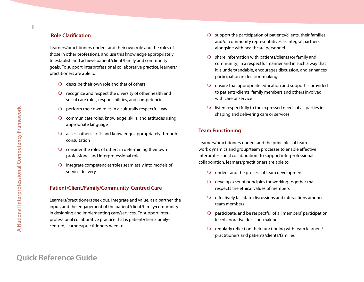#### **Role Clarification**

Learners/practitioners understand their own role and the roles of those in other professions, and use this knowledge appropriately to establish and achieve patient/client/family and community goals. To support interprofessional collaborative practice, learners/ practitioners are able to:

- $\bigcirc$  describe their own role and that of others
- $\Omega$  recognize and respect the diversity of other health and social care roles, responsibilities, and competencies
- $\bigcirc$  perform their own roles in a culturally respectful way
- $\Omega$  communicate roles, knowledge, skills, and attitudes using appropriate language
- $\Omega$  access others' skills and knowledge appropriately through consultation
- $\Omega$  consider the roles of others in determining their own professional and interprofessional roles
- $\Omega$  integrate competencies/roles seamlessly into models of service delivery

#### **Patient/Client/Family/Community-Centred Care**

Learners/practitioners seek out, integrate and value, as a partner, the input, and the engagement of the patient/client/family/community in designing and implementing care/services. To support interprofessional collaborative practice that is patient/client/familycentred, learners/practitioners need to:

- $\Omega$  support the participation of patients/clients, their families, and/or community representatives as integral partners alongside with healthcare personnel
- $\Omega$  share information with patients/clients (or family and community) in a respectful manner and in such a way that it is understandable, encourages discussion, and enhances participation in decision-making
- $\Omega$  ensure that appropriate education and support is provided to patients/clients, family members and others involved with care or service
- $\Omega$  listen respectfully to the expressed needs of all parties in shaping and delivering care or services

#### **Team Functioning**

Learners/practitioners understand the principles of team work dynamics and group/team processes to enable effective interprofessional collaboration. To support interprofessional collaboration, learners/practitioners are able to:

- $\Omega$  understand the process of team development
- $\bigcirc$  develop a set of principles for working together that respects the ethical values of members
- $\bigcirc$  effectively facilitate discussions and interactions among team members
- $\Omega$  participate, and be respectful of all members' participation, in collaborative decision-making
- $\Omega$  regularly reflect on their functioning with team learners/ practitioners and patients/clients/families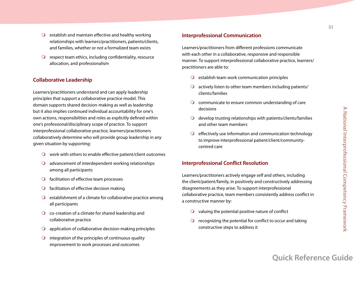- $\Omega$  establish and maintain effective and healthy working relationships with learners/practitioners, patients/clients, and families, whether or not a formalized team exists
- $\Omega$  respect team ethics, including confidentiality, resource allocation, and professionalism

#### **Collaborative Leadership**

Learners/practitioners understand and can apply leadership principles that support a collaborative practice model. This domain supports shared decision-making as well as leadership but it also implies continued individual accountability for one's own actions, responsibilities and roles as explicitly defined within one's professional/disciplinary scope of practice. To support interprofessional collaborative practice, learners/practitioners collaboratively determine who will provide group leadership in any given situation by supporting:

- $\Omega$  work with others to enable effective patient/client outcomes
- $\Omega$  advancement of interdependent working relationships among all participants
- $\bigcirc$  facilitation of effective team processes
- $\bigcirc$  facilitation of effective decision making
- $\Omega$  establishment of a climate for collaborative practice among all participants
- $\bigcirc$  co-creation of a climate for shared leadership and collaborative practice
- $\Omega$  application of collaborative decision-making principles
- $\bigcirc$  integration of the principles of continuous quality improvement to work processes and outcomes

#### **Interprofessional Communication**

Learners/practitioners from different professions communicate with each other in a collaborative, responsive and responsible manner. To support interprofessional collaborative practice, learners/ practitioners are able to:

- $\bigcirc$  establish team work communication principles
- $\Omega$  actively listen to other team members including patients/ clients/families
- $\Omega$  communicate to ensure common understanding of care decisions
- $\Omega$  develop trusting relationships with patients/clients/families and other team members
- $\bigcirc$  effectively use information and communication technology to improve interprofessional patient/client/communitycentred care

#### **Interprofessional Conflict Resolution**

Learners/practitioners actively engage self and others, including the client/patient/family, in positively and constructively addressing disagreements as they arise. To support interprofessional collaborative practice, team members consistently address conflict in a constructive manner by:

- $\Omega$  valuing the potential positive nature of conflict
- $\Omega$  recognizing the potential for conflict to occur and taking constructive steps to address it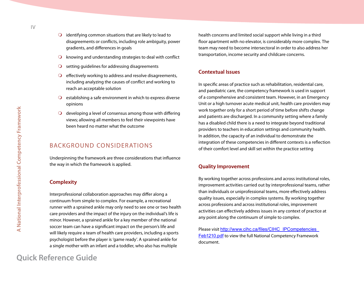- $\bigcirc$  identifying common situations that are likely to lead to disagreements or conflicts, including role ambiguity, power gradients, and differences in goals
- $\Omega$  knowing and understanding strategies to deal with conflict
- setting guidelines for addressing disagreements  $\bigcirc$
- $\bigcirc$  effectively working to address and resolve disagreements, including analyzing the causes of conflict and working to reach an acceptable solution
- $\Omega$  establishing a safe environment in which to express diverse opinions
- $\bigcirc$  developing a level of consensus among those with differing views; allowing all members to feel their viewpoints have been heard no matter what the outcome

# BACKGROUND CONSIDERATIONS

Underpinning the framework are three considerations that influence the way in which the framework is applied.

### **Complexity**

Interprofessional collaboration approaches may differ along a continuum from simple to complex. For example, a recreational runner with a sprained ankle may only need to see one or two health care providers and the impact of the injury on the individual's life is minor. However, a sprained ankle for a key member of the national soccer team can have a significant impact on the person's life and will likely require a team of health care providers, including a sports psychologist before the player is 'game ready'. A sprained ankle for a single mother with an infant and a toddler, who also has multiple

# **Quick Reference Guide**

health concerns and limited social support while living in a third floor apartment with no elevator, is considerably more complex. The team may need to become intersectoral in order to also address her transportation, income security and childcare concerns.

#### **Contextual Issues**

In specific areas of practice such as rehabilitation, residential care, and paediatric care, the competency framework is used in support of a comprehensive and consistent team. However, in an Emergency Unit or a high turnover acute medical unit, health care providers may work together only for a short period of time before shifts change and patients are discharged. In a community setting where a family has a disabled child there is a need to integrate beyond traditional providers to teachers in education settings and community health. In addition, the capacity of an individual to demonstrate the integration of these competencies in different contexts is a reflection of their comfort level and skill set within the practice setting

#### **Quality Improvement**

By working together across professions and across institutional roles, improvement activities carried out by interprofessional teams, rather than individuals or uniprofessional teams, more effectively address quality issues, especially in complex systems. By working together across professions and across institutional roles, improvement activities can effectively address issues in any context of practice at any point along the continuum of simple to complex.

Please visit http://www.cihc.ca/files/CIHC\_IPCompetencies [Feb1210.pd](http://www.cihc.ca/files/CIHC_IPCompetencies_Feb1210.pdf)f to view the full National Competency Framework document.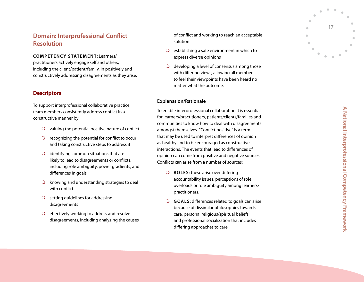# **Domain: Interprofessional Conflict Resolution**

**CO M PE T E N C Y S TAT E M E N T:** Learners/

practitioners actively engage self and others, including the client/patient/family, in positively and constructively addressing disagreements as they arise.

#### **Descriptors**

To support interprofessional collaborative practice, team members consistently address conflict in a constructive manner by:

- $\Omega$  valuing the potential positive nature of conflict
- $\overline{Q}$  recognizing the potential for conflict to occur and taking constructive steps to address it
- $\bigcirc$  identifying common situations that are likely to lead to disagreements or conflicts, including role ambiguity, power gradients, and differences in goals  $\begin{array}{ccc} 0 & 0 & 0 \\ 0 & 0 & 0 \end{array}$
- $\overline{Q}$  knowing and understanding strategies to deal with conflict
- $\bigcirc$  setting guidelines for addressing disagreements
- $\bigcirc$  effectively working to address and resolve disagreements, including analyzing the causes

of conflict and working to reach an acceptable solution

- $\overline{Q}$  establishing a safe environment in which to express diverse opinions
- $\overline{Q}$  developing a level of consensus among those with differing views; allowing all members to feel their viewpoints have been heard no matter what the outcome.

#### **Explanation/ Rationale**

To enable interprofessional collaboration it is essential for learners/practitioners, patients/clients/families and communities to know how to deal with disagreements amongst themselves. "Conflict positive" is a term that may be used to interpret differences of opinion as healthy and to be encouraged as constructive interactions. The events that lead to differences of opinion can come from positive and negative sources. Conflicts can arise from a number of sources: O O Lai na animing malaciónic O O

- **Q** ROLES: these arise over differing accountability issues, perceptions of role overloads or role ambiguity among learners/ practitioners.
- **G o a l s**: differences related to goals can arise because of dissimilar philosophies towards care, personal religious/spiritual beliefs, and professional socialization that includes differing approaches to care.

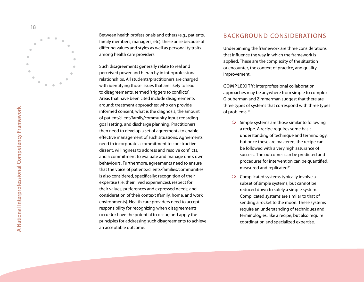

Between health professionals and others (e.g., patients, family members, managers, etc): these arise because of differing values and styles as well as personality traits among health care providers.

Such disagreements generally relate to real and perceived power and hierarchy in interprofessional relationships. All students/practitioners are charged with identifying those issues that are likely to lead to disagreements, termed 'triggers to conflicts'. Areas that have been cited include disagreements around: treatment approaches; who can provide informed consent, what is the diagnosis, the amount of patient/client/family/community input regarding goal setting, and discharge planning. Practitioners then need to develop a set of agreements to enable effective management of such situations. Agreements need to incorporate a commitment to constructive dissent, willingness to address and resolve conflicts, and a commitment to evaluate and manage one's own behaviours. Furthermore, agreements need to ensure that the voice of patients/clients/families/communities is also considered, specifically: recognition of their expertise (i.e. their lived experiences), respect for their values, preferences and expressed needs; and consideration of their context (family, home, and work environments). Health care providers need to accept responsibility for recognizing when disagreements occur (or have the potential to occur) and apply the principles for addressing such disagreements to achieve an acceptable outcome.

### BACKG R O UND CONSIDERATIONS

Underpinning the framework are three considerations that influence the way in which the framework is applied. These are the complexity of the situation or encounter, the context of practice, and quality improvement.

**Comple x it y**: Interprofessional collaboration approaches may be anywhere from simple to complex. Glouberman and Zimmerman suggest that there are three types of systems that correspond with three types of problems 16 .

- $\bigcirc$  Simple systems are those similar to following a recipe. A recipe requires some basic understanding of technique and terminology, but once these are mastered, the recipe can be followed with a very high assurance of success. The outcomes can be predicted and procedures for intervention can be quantified, measured and replicated 3 4 *.*  $\circ$
- $\bigcirc$  Complicated systems typically involve a subset of simple systems, but cannot be reduced down to solely a simple system. Complicated systems are similar to that of sending a rocket to the moon. These systems require an understanding of techniques and terminologies, like a recipe, but also require coordination and specialized expertise.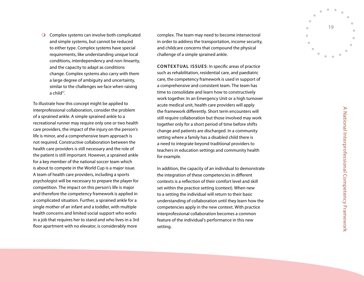Complex systems can involve both complicated and simple systems, but cannot be reduced to either type. Complex systems have special requirements, like understanding unique local conditions, interdependency and non-linearity, and the capacity to adapt as conditions change. Complex systems also carry with them a large degree of ambiguity and uncertainty, similar to the challenges we face when raising a child<sup>17</sup>.

To illustrate how this concept might be applied to interprofessional collaboration, consider the problem of a sprained ankle. A simple sprained ankle to a recreational runner may require only one or two health care providers, the impact of the injury on the person's life is minor, and a comprehensive team approach is not required. Constructive collaboration between the health care providers is still necessary and the role of the patient is still important. However, a sprained ankle for a key member of the national soccer team which is about to compete in the World Cup is a major issue. A team of health care providers, including a sports psychologist will be necessary to prepare the player for competition. The impact on this person's life is major and therefore the competency framework is applied in a complicated situation. Further, a sprained ankle for a single mother of an infant and a toddler, with multiple health concerns and limited social support who works in a job that requires her to stand and who lives in a 3rd O complex systems tan involve both complicated complex systems, but cannot be reduced in order to addets the transportation, income security to either type. Complex yssems have special and childrene come ms that compound t

in order to address the transportation, income security, and childcare concerns that compound the physical challenge of a simple sprained ankle.

**CONTEXTUAL ISSUES:** In specific areas of practice such as rehabilitation, residential care, and paediatric care, the competency framework is used in support of a comprehensive and consistent team. The team has time to consolidate and learn how to constructively work together. In an Emergency Unit or a high turnover acute medical unit, health care providers will apply the framework differently. Short term encounters will still require collaboration but those involved may work together only for a short period of time before shifts change and patients are discharged. In a community setting where a family has a disabled child there is a need to integrate beyond traditional providers to teachers in education settings and community health for example.

In addition, the capacity of an individual to demonstrate the integration of these competencies in different contexts is a reflection of their comfort level and skill set within the practice setting (context). When new to a setting the individual will return to their basic understanding of collaboration until they learn how the competencies apply in the new context. With practice interprofessional collaboration becomes a common feature of the individual's performance in this new setting.

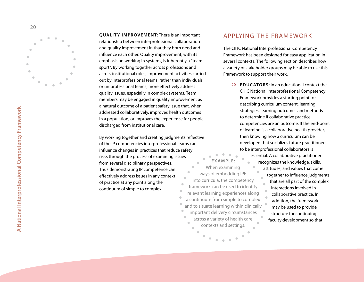

**Q U A L ITY I M PROVE M E N T**: There is an important relationship between interprofessional collaboration and quality improvement in that they both need and influence each other. Quality improvement, with its emphasis on working in systems, is inherently a "team sport". By working together across professions and across institutional roles, improvement activities carried out by interprofessional teams, rather than individuals or uniprofessional teams, more effectively address quality issues, especially in complex systems. Team members may be engaged in quality improvement as a natural outcome of a patient safety issue that, when addressed collaboratively, improves health outcomes in a population, or improves the experience for people discharged from institutional care.

By working together and creating judgments reflective of the IP competencies interprofessional teams can influence changes in practices that reduce safety risks through the process of examining issues from several disciplinary perspectives.  $\blacksquare$ Thus demonstrating IP competence can  $\bullet$ effectively address issues in any context of practice at any point along the  $\bullet$ continuum of simple to complex.  $\bullet$ 

### APPLYING THE FRAMEWORK

The CIHC National Interprofessional Competency Framework has been designed for easy application in several contexts. The following section describes how a variety of stakeholder groups may be able to use this Framework to support their work.

**EDUC ATOR S**: In an educational context the CIHC National Interprofessional Competency Framework provides a starting point for describing curriculum content, learning strategies, learning outcomes and methods to determine if collaborative practice competencies are an outcome. If the end-point of learning is a collaborative health provider, then knowing how a curriculum can be developed that socializes future practitioners to be interprofessional collaborators is essential. A collaborative practitioner

**Exampl e**:  $\bullet$  $\qquad \qquad \bullet$ When examining ways of embedding IPE into curricula, the competency framework can be used to identify relevant learning experiences along a continuum from simple to complex and to situate learning within clinically important delivery circumstances across a variety of health care ö contexts and settings.

recognizes the knowledge, skills, attitudes, and values that come together to influence judgments that are all part of the complex interactions involved in collaborative practice. In addition, the framework may be used to provide structure for continuing faculty development so that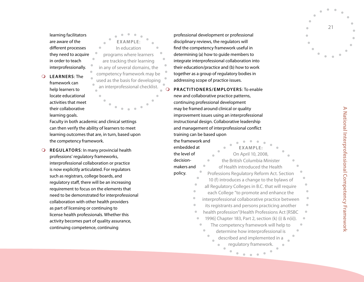learning facilitators are aware of the different processes they need to acquire in order to teach interprofessionally.  $\bullet$ 

 $\Omega$  $\circ$ **LE A R NER S**: The framework can help learners to locate educational activities that meet their collaborative

learning goals.

 $\Omega$ **Exampl e**: In education programs where learners are tracking their learning in any of several domains, the competency framework may be used as the basis for developing an interprofessional checklist.

Faculty in both academic and clinical settings can then verify the ability of learners to meet learning outcomes that are, in turn, based upon the competency framework.

**RE GUL ATOR S**: In many provincial health professions' regulatory frameworks, interprofessional collaboration or practice is now explicitly articulated. For regulators such as registrars, college boards, and regulatory staff, there will be an increasing requirement to focus on the elements that need to be demonstrated for interprofessional collaboration with other health providers as part of licensing or continuing to license health professionals. Whether this activity becomes part of quality assurance, continuing competence, continuing

professional development or professional disciplinary reviews, the regulators will find the competency framework useful in determining (a) how to guide members to integrate interprofessional collaboration into their education/practice and (b) how to work together as a group of regulatory bodies in addressing scope of practice issues.

**PRACTITIONERS/EM PLOYERS**: To enable new and collaborative practice patterns, continuing professional development may be framed around clinical or quality improvement issues using an interprofessional instructional design. Collaborative leadership and management of interprofessional conflict training can be based upon

| the framework and                                    |                                                   |  |  |  |
|------------------------------------------------------|---------------------------------------------------|--|--|--|
| embedded at                                          | EXAMPLE:                                          |  |  |  |
| the level of                                         | On April 10, 2008,                                |  |  |  |
| decision-                                            | the British Columbia Minister                     |  |  |  |
| makers and                                           | of Health introduced the Health                   |  |  |  |
| policy.                                              | Professions Regulatory Reform Act. Section        |  |  |  |
|                                                      | 10 (f) introduces a change to the bylaws of       |  |  |  |
|                                                      | all Regulatory Colleges in B.C. that will require |  |  |  |
|                                                      | each College "to promote and enhance the          |  |  |  |
| interprofessional collaborative practice between     |                                                   |  |  |  |
| its registrants and persons practicing another       |                                                   |  |  |  |
|                                                      | health profession"(Health Professions Act [RSBC   |  |  |  |
| 1996] Chapter 183, Part 2, section (k) (i) & n(ii)). |                                                   |  |  |  |
| The competency framework will help to                |                                                   |  |  |  |
|                                                      | determine how interprofessional is                |  |  |  |
|                                                      | described and implemented in a                    |  |  |  |
|                                                      | regulatory framework.                             |  |  |  |
|                                                      |                                                   |  |  |  |

21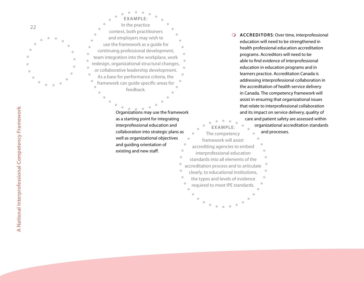

**EXAMPLE**: In the practice context, both practitioners and employers may wish to use the framework as a guide for continuing professional development, team integration into the workplace, work redesign, organizational structural changes, or collaborative leadership development. As a base for performance criteria, the Ŏ framework can guide specific areas for feedback. Organizations may use the framework

as a starting point for integrating interprofessional education and collaboration into strategic plans as well as organizational objectives and guiding orientation of existing and new staff.  $\bullet$ 

 $\ddot{\phantom{a}}$ 

 $\blacksquare$ 

 $\bullet$ 

**ACCREDITORS: Over time, interprofessional** education will need to be strengthened in health professional education accreditation programs. Accreditors will need to be able to find evidence of interprofessional education in education programs and in learners practice. Accreditation Canada is addressing interprofessional collaboration in the accreditation of health service delivery in Canada. The competency framework will assist in ensuring that organizational issues that relate to interprofessional collaboration and its impact on service delivery, quality of

care and patient safety are assessed within organizational accreditation standards and processes.

**EXAMPLE**: The competency framework will assist accrediting agencies to embed interprofessional education standards into all elements of the accreditation process and to articulate clearly, to educational institutions, the types and levels of evidence required to meet IPE standards.

**A National Interprofessional Competency Framework**

A National Interprofessional Competency Framework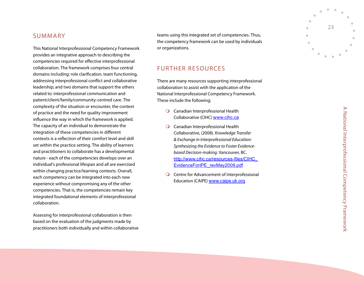## **SUMMARY**

This National Interprofessional Competency Framework provides an integrative approach to describing the competencies required for effective interprofessional collaboration. The framework comprises four central domains including: role clarification, team functioning, addressing interprofessional conflict and collaborative leadership; and two domains that support the others related to: interprofessional communication and patient/client/family/community-centred care. The complexity of the situation or encounter, the context of practice and the need for quality improvement influence the way in which the framework is applied. The capacity of an individual to demonstrate the integration of these competencies in different contexts is a reflection of their comfort level and skill set within the practice setting. The ability of learners and practitioners to collaborate has a developmental nature - each of the competencies develops over an individual's professional lifespan and all are exercised within changing practice/learning contexts. Overall, each competency can be integrated into each new experience without compromising any of the other competencies. That is, the competencies remain key integrated foundational elements of interprofessional collaboration.<br>Assessing for interprofessional collaboration is then

based on the evaluation of the judgments made by practitioners both individually and within collaborative

teams using this integrated set of competencies. Thus, the competency framework can be used by individuals or organizations.

## FURTHER RESOURCES

There are many resources supporting interprofessional collaboration to assist with the application of the National Interprofessional Competency Framework. These include the following:

- Canadian Interprofessional Health Collaborative (CIHC) <u>[www.cihc.c](http://www.cihc.ca)a</u>
- Canadian Interprofessional Health Collaborative, (2008). *Knowledge Transfer & Exchange in Interprofessional Education: Synthesizing the Evidence to Foster Evidencebased Decision-making.* Vancouver, BC. [http://www.cihc.ca/resources-files/CIHC\\_](http://www.cihc.ca/resources-files/CIHC_EvidenceForIPE_revMay2009.pdf) [EvidenceForIPE\\_revMay2009.pd](http://www.cihc.ca/resources-files/CIHC_EvidenceForIPE_revMay2009.pdf) f  $\circ$  0
- Centre for Advancement of Interprofessional Education (CAIPE) [www.caipe.uk.or](http://www.caipe.uk.org)g

 $\blacktriangleright$ 

23

 $\bullet$  $\bullet$   $\bullet$ 

 $\mathbf{r}$  $\bullet$  $\triangle$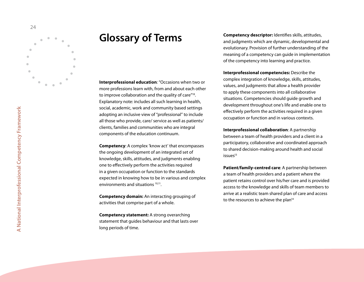<span id="page-27-0"></span>

# **Glossary of Terms**

**Interprofessional education**: "Occasions when two or more professions learn with, from and about each other to improve collaboration and the quality of care<sup>"18</sup>.<br>Explanatory note: includes all such learning in health, social, academic, work and community based settings adopting an inclusive view of "professional" to include all those who provide, care/ service as well as patients/ clients, families and communities who are integral components of the education continuum.

**Competency**: A complex 'know act' that encompasses the ongoing development of an integrated set of knowledge, skills, attitudes, and judgments enabling one to effectively perform the activities required in a given occupation or function to the standards expected in knowing how to be in various and complex environments and situations <sup>10,11</sup>.

**Competency domain:** An interacting grouping of activities that comprise part of a whole.

**Competency statement:** A strong overarching statement that guides behaviour and that lasts over long periods of time.

**Competency descriptor:** Identifies skills, attitudes, and judgments which are dynamic, developmental and evolutionary. Provision of further understanding of the meaning of a competency can guide in implementation of the competency into learning and practice.

**Interprofessional competencies:** Describe the complex integration of knowledge, skills, attitudes, values, and judgments that allow a health provider to apply these components into all collaborative situations. Competencies should guide growth and development throughout one's life and enable one to effectively perform the activities required in a given occupation or function and in various contexts.

**Interprofessional collaboration**: A partnership between a team of health providers and a client in a participatory, collaborative and coordinated approach to shared decision-making around health and social  $issues<sup>13</sup>$ 

**Patient/family-centred care**: A partnership between a team of health providers and a patient where the patient retains control over his/her care and is provided access to the knowledge and skills of team members to arrive at a realistic team shared plan of care and access to the resources to achieve the plan<sup>14</sup>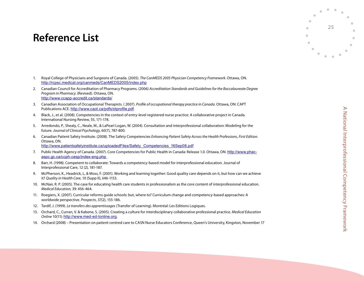# <span id="page-28-0"></span>**Reference List**

- 1. Royal College of Physicians and Surgeons of Canada. (2005). *The CanMEDS 2005 Physician Competency Framework*. Ottawa, ON. [http://rcpsc.medical.org/canmeds/CanMEDS2005/index.ph](http://rcpsc.medical.org/canmeds/CanMEDS2005/index.php) p
- 2. Canadian Council for Accreditation of Pharmacy Programs. (2006) *Accreditation Standards and Guidelines for the Baccalaureate Degree Program in Pharmacy*. ( Revised). Ottawa, ON. [http://www.ccapp-accredit.ca/standards](http://www.ccapp-accredit.ca/standards/) /
- 3. Canadian Association of Occupational Therapists. ( 2007). *Profile of occupational therapy practice in Canada*. Ottawa, ON: C APT Publications ACE. [http://www.caot.ca/pdfs/otprofile.pd](http://www.caot.ca/pdfs/otprofile.pdf)f.
- 4 . Black, J., et al. (2008). Competencies in the context of entry-level registered nurse practice: A collaborative project in Canada. International Nursing Review, 55, 171-178.
- 5. Arredondo, P., Shealy, C., Neale, M., & LaPearl Logan, W. (200 4). Consultation and interprofessional collaboration: Modeling for the future. *Journal of Clinical Psychology*, 60(7), 787-800.
- 6. Canadian Patient Safety Institute. (2008). The Safety Competencies *Enhancing Patient Safety Across the Health Professions*, *First Edition.*  Ottawa, ON. [http://www.patientsafetyinstitute.ca/uploadedFiles/Safety\\_Competencies\\_16Sep08.pd](http://www.patientsafetyinstitute.ca/uploadedFiles/Safety_Competencies_16Sep08.pdf) f
- 7. Public Health Agency of Canada. (2007). Core Competencies for Public Health in Canada: Release 1.0. Ottawa, ON. [http://www.phac](http://www.phac-aspc.gc.ca/ccph-cesp/index-eng.php 
8)[aspc.gc.ca/ccph-cesp/index-eng.php](http://www.phac-aspc.gc.ca/ccph-cesp/index-eng.php 
8)
- [8](http://www.phac-aspc.gc.ca/ccph-cesp/index-eng.php 
8) . Barr, H. (1998). Competent to collaborate: Towards a competency-based model for interprofessional education. Journal of Interprofessional Care, 12 (2), 181-187.
- 9. McPherson, K., Headrick, L, & Moss, F. (2001). Working and learning together: Good quality care depends on it, but how can we achieve it? *Quality in Health Care*, 10 (Supp II), ii 46-1153.
- 10. McNair, R. P. (2005). The case for educating health care students in professionalism as the core content of interprofessional education. *Medical Education*, 39: 456- 4 6 4 .
- 11. Roegiers, X. (2007). Curricular reforms guide schools: but, where to? Curriculum change and competency-based approaches: A worldwide perspective. *Prospects*, 37(2), 155-186.
- 12. Tardif, J. (1999). *Le transfers des apprentissages* (Transfer of Learning). Montréal: Les Editions Logiques.
- 13. Orchard, C., Curran, V. & Kabene, S. (2005). Creating a culture for interdisciplinary collaborative professional practice. *Medical Education Online* 10(11): <u>[http://www.med-ed-lonline.or](http://www.med-ed-lonline.org)g</u>.
- 1 4 . Orchard (2008) Presentation on patient-centred care to C ASN Nurse Educators Conference, Queen's University, Kingston, November 17

25

 $\bullet$  $\alpha$   $\bullet$ 

ó  $\triangle$  $\blacksquare$  $\blacksquare$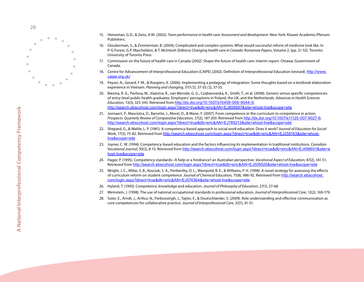

- 15. Heineman, G.D., & Zeiss, A.M. (2002). *Team performance in health care: Assessment and development.* New York: Kluwer Academic/Plenum Publishers.
- 16. Glouberman, S., & Zimmerman, B. (200 4), Complicated and complex systems: What would successful reform of medicine look like. In P-G Forest, G.P. Marcheldon, & T. McIntosh ( Editors) *Changing health care in Canada: Romanow Papers*, Volume 2. (pp. 21-52). Toronto: University of Toronto Press
- 17. Commission on the future of health care in Canada (2002). Shape the future of health care: Interim report. Ottawa: Government of Canada.
- 18. Centre for Advancement of Interprofessional Education (CAIPE) (2002). Definition of Interprofessional Education (revised). [http://www.](http://www.caipe.org.uk/) [caipe.org.uk](http://www.caipe.org.uk/) /
- 19. Peyser, A., Gerard, F-M., & Roegiers, X. (2006). Implementing a pedagogy of integration: Some thoughts based on a textbook elaboration experience in Vietnam. *Planning and changing*, 37(1/2), 37-55./2), 37-55.
- 20. Biesma, R. G., Pavlova, M., Vaatstra, R., van Merode, G. G., Czabanowska, K., Smith, T., et al. (2008). Generic versus specific competencies of entry-level public health graduates: Employers' perceptions in Poland, the UK, and the Netherlands. *Advances in Health Sciences Education,* 13(3), 325-343. Retrieved from <u>[http://dx.doi.org/10.1007/s10459-006-9044-](http://dx.doi.org/10.1007/s10459-006-9044-0)0</u>; [http://search.ebscohost.com/login.aspx?direct=true&db=eric&AN=EJ808687&site=ehost-live&scope=sit](http://search.ebscohost.com/login.aspx?direct=true&db=eric&AN=EJ808687&site=ehost-live&scope=site) e
- 21. Jonnaert, P., Masciotra, D., Barrette, J., Morel, D., & Mane, Y. (2007). From competence in the curriculum to competence in action. *Prospects: Quarterly Review of Comparative Education,* 37(2), 187-203. Retrieved from [http://dx.doi.org/10.1007/s11125-007-9027-](http://dx.doi.org/10.1007/s11125-007-9027-9) 9; [http://search.ebscohost.com/login.aspx?direct=true&db=eric&AN=EJ785213&site=ehost-live&scope=sit](http://search.ebscohost.com/login.aspx?direct=true&db=eric&AN=EJ785213&site=ehost-live&scope=site) e
- 22. Shepard, G., & Wahle, L. P. (1981). A competency-based approach to social work education: Does it work? *Journal of Education for Social Work*, 17(3), 75-82. Retrieved from [http://search.ebscohost.com/login.aspx?direct=true&db=eric&AN=EJ258163&site=ehost](http://search.ebscohost.com/login.aspx?direct=true&db=eric&AN=EJ258163&site=ehost-live&scope=site)[live&scope=sit](http://search.ebscohost.com/login.aspx?direct=true&db=eric&AN=EJ258163&site=ehost-live&scope=site)e
- 23. Joyner, C. W. (199 4). Competency-based education and the factors influencing its implementation in traditional institutions. *Canadian Vocational Journal*, 30(2), 8-13. Retrieved from [http://search.ebscohost.com/login.aspx?direct=true&db=eric&AN=EJ498601&site=e](http://search.ebscohost.com/login.aspx?direct=true&db=eric&AN=EJ498601&site=ehost-live&scope=site) [host-live&scope=sit](http://search.ebscohost.com/login.aspx?direct=true&db=eric&AN=EJ498601&site=ehost-live&scope=site) e
- 2 4 . Hager, P. (1995). Competency standards-- A help or a hindrance? an Australian perspective. *Vocational Aspect of Education*, 47(2), 1 41-51. Retrieved from [http://search.ebscohost.com/login.aspx?direct=true&db=eric&AN=EJ509520&site=ehost-live&scope=sit](http://search.ebscohost.com/login.aspx?direct=true&db=eric&AN=EJ509520&site=ehost-live&scope=site)e
- 25. Wright, J. C., Millar, S. B., Kosciuk, S. A., Penberthy, D. L., Wampold, B. E., & Williams, P. H. (1998). A novel strategy for assessing the effects of curriculum reform on student competence. *Journal of Chemical Education,* 75(8), 986-92. Retrieved from [http://search.ebscohost.](http://search.ebscohost.com/login.aspx?direct=true&db=eric&AN=EJ574364&site=ehost-live&scope=site) [com/login.aspx?direct=true&db=eric&AN=EJ574364&site=ehost-live&scope=sit](http://search.ebscohost.com/login.aspx?direct=true&db=eric&AN=EJ574364&site=ehost-live&scope=site) e
- 26. Hyland, T. (1993). Competence, knowledge and education. *Journal of Philosophy of Education*, 27(1), 57-68
- 27. Weinstein, J. (1998). The use of national occupational standards in professional education*. Journal of Interprofessional Care*, 12(2), 169-179.
- 28. Suter, E., Arndt, J., Arthur, N,. Parboosingh, J., Taylor, E., & Deutschlander, S. (2009). Role understanding and effective communication as core competencies for collaborative practice. *Journal of Interprofessional Care*, 32(1), 41-51.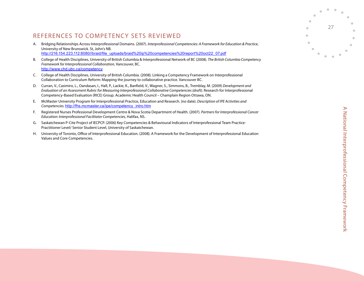# REFERENCES TO COMPETENCY SETS REVIEWED

- A . Bridging Relationships Across Interprofessional Domains. (2007). *Interprofessional Competencies: A Framework for Education & Practice*, University of New Brunswick. St, John's N B . [http://216.154.223.112:8080//braid/file\\_uploads/braid%20ip%20competencies%20report%20oct22\\_07.pd](http://216.154.223.112:8080//braid/file_uploads/braid ip competencies report oct22_07.pdf) f
- B. College of Health Disciplines, University of British Columbia & Interprofessional Network of BC (2008). The British Columbia Competency *Framework for Interprofessional Collaboration*, Vancouver, BC. [http://www.chd.ubc.ca/competenc](http://www.chd.ubc.ca/competency) y
- C. College of Health Disciplines, University of British Columbia. (2008). Linking a Competency Framework on Interprofessional Collaboration to Curriculum Reform: Mapping the journey to collaborative practice. Vancouver BC.
- D. Curran, V., Casimiro, L., Oandasan, I., Hall, P., Lackie, K., Banfield, V., Wagner, S., Simmons, B., Tremblay, M. (2009) *Development and* Evaluation of an Assessment Rubric for Measuring Interprofessional Collaborative Competencies (draft). Research for Interprofessional Competency-Based Evaluation (RICE) Group. Academic Health Council - Champlain Region Ottawa, ON.
- E. McMaster University Program for Interprofessional Practice, Education and Research. (no date). *Description of IPE Activities and* Competencies. [http://fhs.mcmaster.ca/ipe/competency\\_intro.ht](http://fhs.mcmaster.ca/ipe/competency_intro.htm)m
- F. Registered Nurses Professional Development Centre & Nova Scotia Department of Health. (2007). *Partners for Interprofessional Cancer Education: Interprofessional Facilitator Competencies,* Halifax, NS.
- G. Saskatchewan P-Cite Project of IECPCP. (2006) Key Competencies & Behavioural Indicators of Interprofessional Team Practice-Practitioner Level/ Senior Student Level, University of Saskatchewan.
- H. University of Toronto, Office of Interprofessional Education. (2008). A Framework for the Development of Interprofessional Education Values and Core Competencies.

27

 $\blacksquare$  $\alpha$   $\bullet$ 

ó  $\triangle$  $\blacksquare$  $\triangle$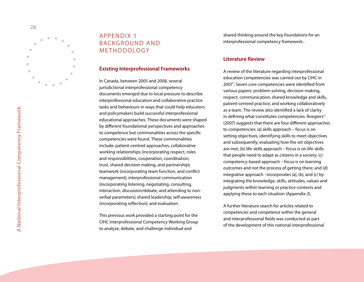<span id="page-31-0"></span>

# APP ENDIX 1 BACKGROUND AN **METHODOLOGY**

#### **Existing Interprofessional Frameworks**

In Canada, between 2005 and 2008, several jurisdictional interprofessional competency documents emerged due to local pressure to describe interprofessional education and collaborative practice tasks and behaviours in ways that could help educators and policymakers build successful interprofessional educational approaches. These documents were shaped by different foundational perspectives and approaches to competence but commonalities across the specific competencies were found. These commonalities include: patient-centred approaches, collaborative working relationships (incorporating respect, roles and responsibilities, cooperation, coordination, trust, shared decision making, and partnership); teamwork (incorporating team function, and conflict management); interprofessional communication (incorporating listening, negotiating, consulting, interaction, discussion/debate, and attending to nonverbal parameters); shared leadership; self-awareness (incorporating reflection); and evaluation.

This previous work provided a starting point for the CIHC Interprofessional Competency Working Group to analyze, debate, and challenge individual and

shared thinking around the key foundations for an interprofessional competency framework..

#### **Literature Review**

A review of the literature regarding interprofessional education competencies was carried out by CIHC in 2007 7 . Seven core competencies were identified from various papers: problem-solving, decision-making, respect, communication, shared knowledge and skills, patient-centred practice, and working collaboratively as a team. The review also identified a lack of clarity in defining what constitutes competencies. Roegiers<sup>11</sup> (2007) suggests that there are four different approaches to competencies: (a) skills approach – focus is on setting objectives, identifying skills to meet objectives and subsequently, evaluating how the set objectives are met; (b) life-skills approach – focus is on life-skills that people need to adapt as citizens in a society; (c) competency-based approach – focus is on learning outcomes and not the process of getting there; and (d) integrative approach –incorporates (a), (b), and (c) by integrating the knowledge, skills, attitudes, values and judgments within learning or practice contexts and applying these to each situation ( Appendix 2).

A further literature search for articles related to *competencies* and *competence* within the general and interprofessional fields was conducted as part of the development of this national interprofessional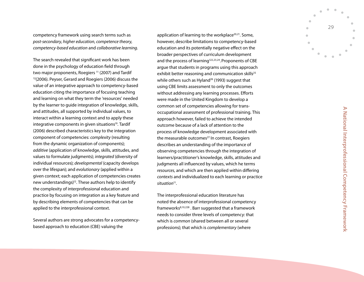competency framework using search terms such as *post-secondary*, *higher education*, *competence theory*, *competency-based education* and *collaborative learning*.

The search revealed that significant work has been done in the psychology of education field through two major proponents, Roegiers<sup>11</sup> (2007) and Tardif <sup>12</sup>(2006). Peyser, Gerard and Roegiers (2006) discuss the value of an integrative approach to competency-based education citing the importance of focusing teaching and learning on what they term the 'resources' needed by the learner to guide integration of knowledge, skills, and attitudes, all supported by individual values, to interact within a learning context and to apply these integrative components in given situations<sup>19</sup>. Tardif (2006) described characteristics key to the integration component of competencies: *complexity* (resulting from the dynamic organization of components); *additive* (application of knowledge, skills, attitudes, and values to formulate judgments); *integrated* (diversity of individual resources); *developmental* (capacity develops over the lifespan); and *evolutionary* (applied within a given context; each application of competencies creates new understandings)<sup>12</sup>. These authors help to identify the complexity of interprofessional education and practice by focusing on integration as a key feature and by describing elements of competencies that can be applied to the interprofessional context.

Several authors are strong advocates for a competencybased approach to education (CBE) valuing the

application of learning to the workplace $20,21$ . Some, however, describe limitations to competency-based education and its potentially negative effect on the broader perspectives of curriculum development and the process of learning<sup>122,23,24</sup>. Proponents of CB argue that students in programs using this approach exhibit better reasoning and communication skills<sup>25</sup> while others such as Hyland<sup>26</sup> (1993) suggest that using CBE limits assessment to only the outcomes without addressing any learning processes. Efforts were made in the United Kingdom to develop a common set of competencies allowing for transoccupational assessment of professional training. This approach however, failed to achieve the intended outcome because of a lack of attention to the process of knowledge development associated with the measurable outcomes<sup>27.</sup> In contrast, Roegiers describes an understanding of the importance of observing competencies through the integration of learners/practitioner's knowledge, skills, attitudes and judgments all influenced by values, which he terms *resources,* and which are then applied within differing *contexts* and individualized to each learning or practice situation<sup>11</sup>.

The interprofessional education literature has noted the absence of interprofessional competency frameworks8,10,228 . Barr suggested that a framework needs to consider three levels of competency: that which is *common* (shared between all or several professions); that which is *complementary* (where

29

 $\bullet$  $\bullet$   $\bullet$ 

 $\mathbf{r}$  $\bullet$  $\blacksquare$   $\blacksquare$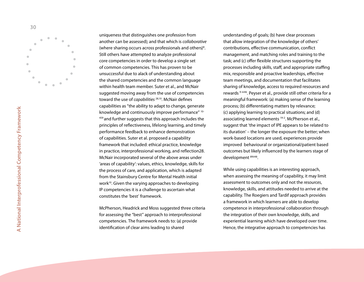

uniqueness that distinguishes one profession from another can be assessed); and that which is *collaborative*  (where sharing occurs across professionals and others) 8 . Still others have attempted to analyze professional core competencies in order to develop a single set of common competencies. This has proven to be unsuccessful due to alack of understanding about the shared competencies and the common language within health team member. Suter et al., and McNair suggested moving away from the use of competencies toward the use of *capabilities* 28,10. McNair defines capabilities as "the ability to adapt to change, generate knowledge and continuously improve performance" 10- 459 and further suggests that this approach includes the principles of reflectiveness, lifelong learning, and timely performance feedback to enhance demonstration of capabilities. Suter et al. proposed a capability framework that included: ethical practice, knowledge in practice, interprofessional working, and reflection28. McNair incorporated several of the above areas under 'areas of capability': values, ethics, knowledge, skills for the process of care, and application, which is adapted from the Stainsbury Centre for Mental Health initial work<sup>10</sup>. Given the varying approaches to developing IP competencies it is a challenge to ascertain what constitutes the 'best' framework.

McPherson, Headrick and Moss suggested three criteria for assessing the "best" approach to interprofessional competencies. The framework needs to: (a) provide identification of clear aims leading to shared

understanding of goals; (b) have clear processes that allow integration of the knowledge of others' contributions, effective communication, conflict management, and matching roles and training to the task; and (c) offer flexible structures supporting the processes including skills, staff, and appropriate staffing mix, responsible and proactive leaderships, effective team meetings, and documentation that facilitates sharing of knowledge, access to required resources and rewards <sup>9-ii146</sup>. Peyser et al., provide still other criteria for a meaningful framework: (a) making sense of the learning process; (b) differentiating matters by relevance; (c) applying learning to practical situations; and (d) associating learned elements<sup>19-2</sup>. McPherson et al., suggest that 'the impact of IP E appears to be related to its duration' – the longer the exposure the better; when work-based locations are used, experiences provide improved behavioural or organizational/patient based outcomes but likely influenced by the learners stage of development <sup>89ii48</sup>.

While using capabilities is an interesting approach, when assessing the meaning of capability, it may limit assessment to outcomes only and not the *resources*, knowledge, skills, and attitudes needed to arrive at the capability. The Roegiers and Tardif approach provides a framework in which learners are able to develop competence in interprofessional collaboration through the integration of their own knowledge, skills, and experiential learning which have developed over time. Hence, the integrative approach to competencies has

30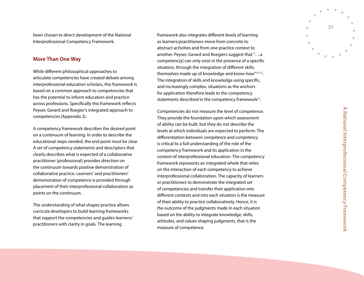been chosen to direct development of the National Interprofessional Competency Framework.

#### **More Than One Way**

While different philosophical approaches to articulate competencies have created debate among interprofessional education scholars, this framework is based on a common approach to competencies that has the potential to inform education and practice across professions. Specifically this framework reflects Peyser, Gerard and Roegier's integrated approach to competencies ( Appendix 2).

A competency framework describes the desired point on a continuum of learning. In order to describe the educational steps needed, the end point must be clear. A set of competency statements and descriptors that clearly describes what is expected of a collaborative practitioner (professional) provides direction on the continuum towards positive demonstration of collaborative practice. Learners' and practitioners' demonstration of competence is provided through placement of their interprofessional collaboration as points on the continuum.

The understanding of what shapes practice allows curricula developers to build learning frameworks that support the competencies and guides learners/ practitioners with clarity in goals. The learning

framework also integrates different levels of learning as learners/practitioners move from concrete to abstract activities and from one practice context to another. Peyser, Gerard and Roegiers suggest that "….a competenc[y] can only exist in the presence of a specific situation, through the integration of different skills, themselves made up of knowledge and know-how"12-1,2. The integration of skills and knowledge using specific, and increasingly complex, situations as the anchors for application therefore leads to the competency statements described in the competency framework<sup>12</sup>.

Competencies do not measure the level of competence. They provide the foundation upon which assessment of ability can be built, but they do not describe the levels at which individuals are expected to perform. The differentiation between *competence* and *competency*  is critical to a full understanding of the role of the competency framework and its application in the context of interprofessional education. The competency framework represents an integrated whole that relies on the interaction of each competency to achieve interprofessional collaboration. The capacity of learners or practitioners to demonstrate the integrated set of competencies and transfer their application into different contexts and into each situation is the measure of their ability to practice collaboratively. Hence, it is the outcome of the judgments made in each situation based on the ability to integrate knowledge, skills, attitudes, and values shaping judgments, that is the measure of competence.

31

 $\blacksquare$  $\blacksquare$ 

 $\mathbf{r}$  $\bullet$  $\blacksquare$